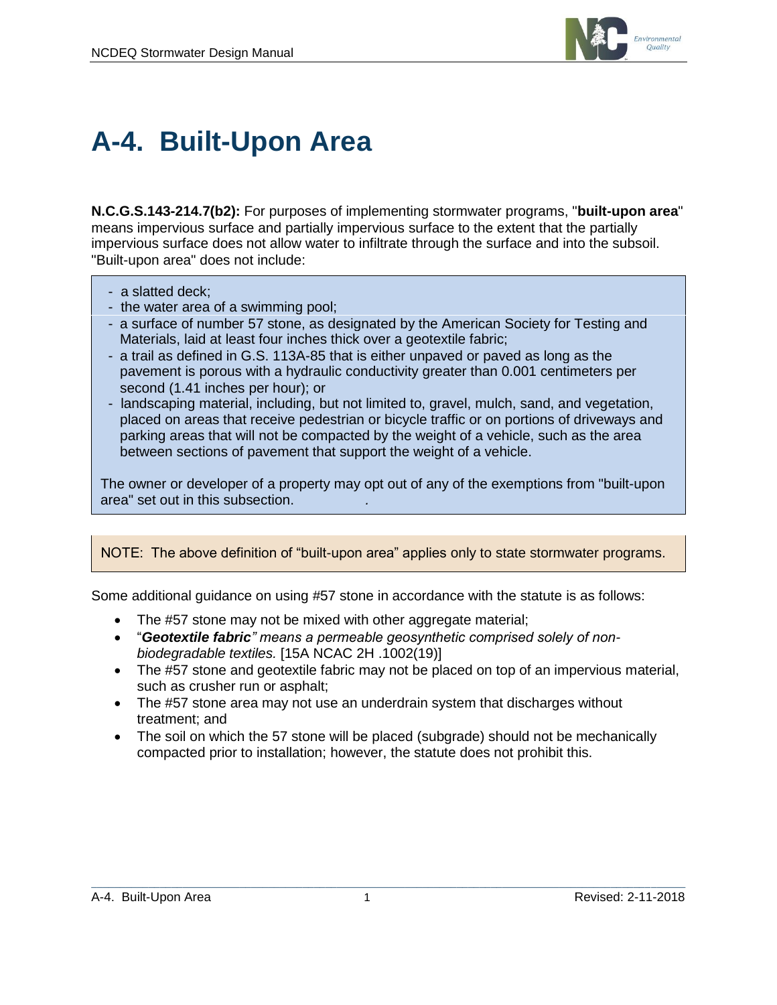

## **A-4. Built-Upon Area**

**N.C.G.S.143-214.7(b2):** For purposes of implementing stormwater programs, "**built-upon area**" means impervious surface and partially impervious surface to the extent that the partially impervious surface does not allow water to infiltrate through the surface and into the subsoil. "Built-upon area" does not include:

- a slatted deck;
- the water area of a swimming pool;
- a surface of number 57 stone, as designated by the American Society for Testing and Materials, laid at least four inches thick over a geotextile fabric;
- a trail as defined in G.S. 113A-85 that is either unpaved or paved as long as the pavement is porous with a hydraulic conductivity greater than 0.001 centimeters per second (1.41 inches per hour); or
- landscaping material, including, but not limited to, gravel, mulch, sand, and vegetation, placed on areas that receive pedestrian or bicycle traffic or on portions of driveways and parking areas that will not be compacted by the weight of a vehicle, such as the area between sections of pavement that support the weight of a vehicle.

The owner or developer of a property may opt out of any of the exemptions from "built-upon area" set out in this subsection. *.*

NOTE: The above definition of "built-upon area" applies only to state stormwater programs.

Some additional guidance on using #57 stone in accordance with the statute is as follows:

- The #57 stone may not be mixed with other aggregate material;
- "*Geotextile fabric" means a permeable geosynthetic comprised solely of nonbiodegradable textiles.* [15A NCAC 2H .1002(19)]
- The #57 stone and geotextile fabric may not be placed on top of an impervious material, such as crusher run or asphalt;
- The #57 stone area may not use an underdrain system that discharges without treatment; and
- The soil on which the 57 stone will be placed (subgrade) should not be mechanically compacted prior to installation; however, the statute does not prohibit this.